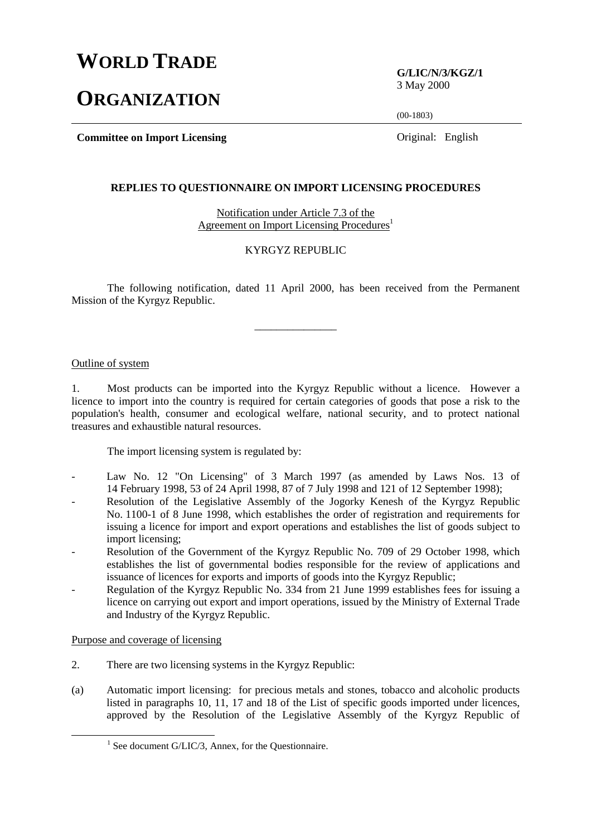# **WORLD TRADE**

# **ORGANIZATION**

**G/LIC/N/3/KGZ/1** 3 May 2000

(00-1803)

**Committee on Import Licensing Committee on Import Licensing Committee on Import Licensing** 

#### **REPLIES TO QUESTIONNAIRE ON IMPORT LICENSING PROCEDURES**

Notification under Article 7.3 of the Agreement on Import Licensing Procedures<sup>1</sup>

#### KYRGYZ REPUBLIC

The following notification, dated 11 April 2000, has been received from the Permanent Mission of the Kyrgyz Republic.

\_\_\_\_\_\_\_\_\_\_\_\_\_\_\_

### Outline of system

1. Most products can be imported into the Kyrgyz Republic without a licence. However a licence to import into the country is required for certain categories of goods that pose a risk to the population's health, consumer and ecological welfare, national security, and to protect national treasures and exhaustible natural resources.

The import licensing system is regulated by:

- Law No. 12 "On Licensing" of 3 March 1997 (as amended by Laws Nos. 13 of 14 February 1998, 53 of 24 April 1998, 87 of 7 July 1998 and 121 of 12 September 1998);
- Resolution of the Legislative Assembly of the Jogorky Kenesh of the Kyrgyz Republic No. 1100-1 of 8 June 1998, which establishes the order of registration and requirements for issuing a licence for import and export operations and establishes the list of goods subject to import licensing;
- Resolution of the Government of the Kyrgyz Republic No. 709 of 29 October 1998, which establishes the list of governmental bodies responsible for the review of applications and issuance of licences for exports and imports of goods into the Kyrgyz Republic;
- Regulation of the Kyrgyz Republic No. 334 from 21 June 1999 establishes fees for issuing a licence on carrying out export and import operations, issued by the Ministry of External Trade and Industry of the Kyrgyz Republic.

### Purpose and coverage of licensing

- 2. There are two licensing systems in the Kyrgyz Republic:
- (a) Automatic import licensing: for precious metals and stones, tobacco and alcoholic products listed in paragraphs 10, 11, 17 and 18 of the List of specific goods imported under licences, approved by the Resolution of the Legislative Assembly of the Kyrgyz Republic of

<sup>&</sup>lt;u>1</u>  $<sup>1</sup>$  See document G/LIC/3, Annex, for the Questionnaire.</sup>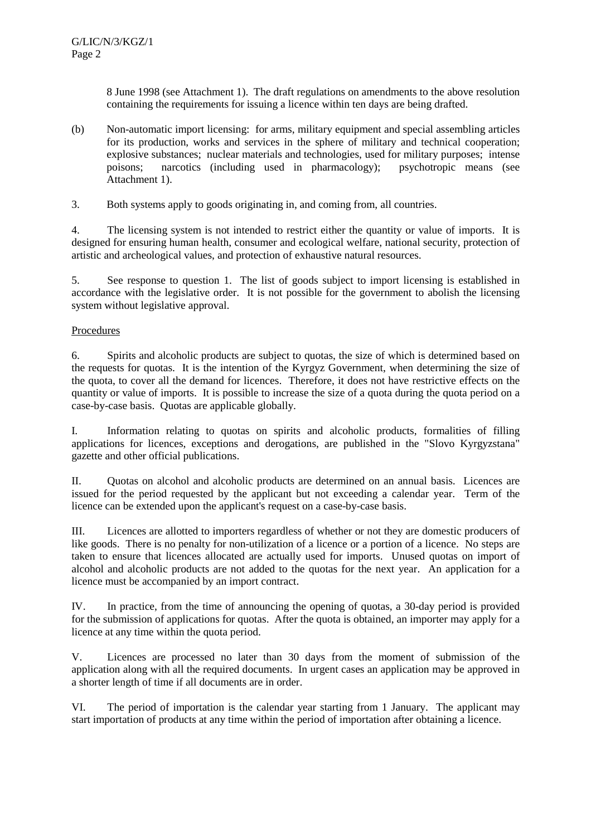8 June 1998 (see Attachment 1). The draft regulations on amendments to the above resolution containing the requirements for issuing a licence within ten days are being drafted.

- (b) Non-automatic import licensing: for arms, military equipment and special assembling articles for its production, works and services in the sphere of military and technical cooperation; explosive substances; nuclear materials and technologies, used for military purposes; intense poisons; narcotics (including used in pharmacology); psychotropic means (see Attachment 1).
- 3. Both systems apply to goods originating in, and coming from, all countries.

4. The licensing system is not intended to restrict either the quantity or value of imports. It is designed for ensuring human health, consumer and ecological welfare, national security, protection of artistic and archeological values, and protection of exhaustive natural resources.

5. See response to question 1. The list of goods subject to import licensing is established in accordance with the legislative order. It is not possible for the government to abolish the licensing system without legislative approval.

## **Procedures**

6. Spirits and alcoholic products are subject to quotas, the size of which is determined based on the requests for quotas. It is the intention of the Kyrgyz Government, when determining the size of the quota, to cover all the demand for licences. Therefore, it does not have restrictive effects on the quantity or value of imports. It is possible to increase the size of a quota during the quota period on a case-by-case basis. Quotas are applicable globally.

I. Information relating to quotas on spirits and alcoholic products, formalities of filling applications for licences, exceptions and derogations, are published in the "Slovo Kyrgyzstana" gazette and other official publications.

II. Quotas on alcohol and alcoholic products are determined on an annual basis. Licences are issued for the period requested by the applicant but not exceeding a calendar year. Term of the licence can be extended upon the applicant's request on a case-by-case basis.

III. Licences are allotted to importers regardless of whether or not they are domestic producers of like goods. There is no penalty for non-utilization of a licence or a portion of a licence. No steps are taken to ensure that licences allocated are actually used for imports. Unused quotas on import of alcohol and alcoholic products are not added to the quotas for the next year. An application for a licence must be accompanied by an import contract.

IV. In practice, from the time of announcing the opening of quotas, a 30-day period is provided for the submission of applications for quotas. After the quota is obtained, an importer may apply for a licence at any time within the quota period.

V. Licences are processed no later than 30 days from the moment of submission of the application along with all the required documents. In urgent cases an application may be approved in a shorter length of time if all documents are in order.

VI. The period of importation is the calendar year starting from 1 January. The applicant may start importation of products at any time within the period of importation after obtaining a licence.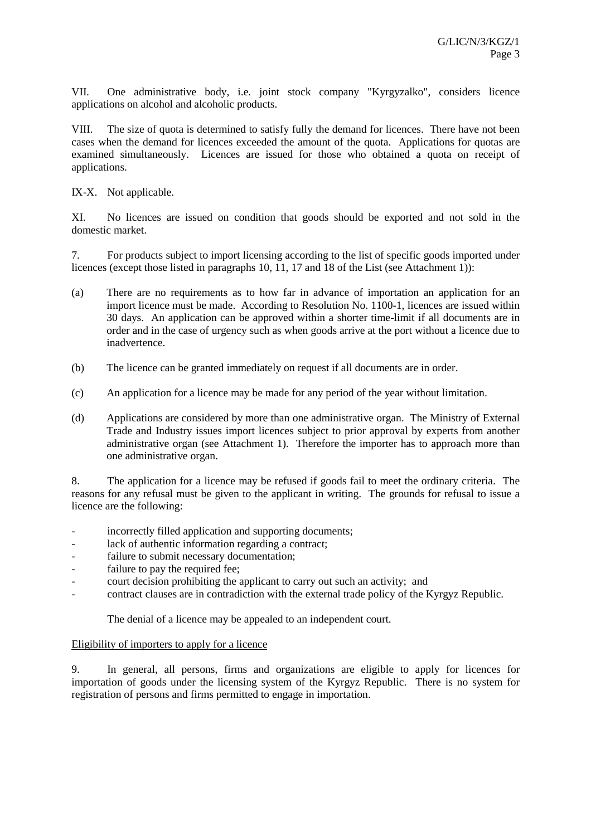VII. One administrative body, i.e. joint stock company "Kyrgyzalko", considers licence applications on alcohol and alcoholic products.

VIII. The size of quota is determined to satisfy fully the demand for licences. There have not been cases when the demand for licences exceeded the amount of the quota. Applications for quotas are examined simultaneously. Licences are issued for those who obtained a quota on receipt of applications.

IX-X. Not applicable.

XI. No licences are issued on condition that goods should be exported and not sold in the domestic market.

7. For products subject to import licensing according to the list of specific goods imported under licences (except those listed in paragraphs 10, 11, 17 and 18 of the List (see Attachment 1)):

- (a) There are no requirements as to how far in advance of importation an application for an import licence must be made. According to Resolution No. 1100-1, licences are issued within 30 days. An application can be approved within a shorter time-limit if all documents are in order and in the case of urgency such as when goods arrive at the port without a licence due to inadvertence.
- (b) The licence can be granted immediately on request if all documents are in order.
- (c) An application for a licence may be made for any period of the year without limitation.
- (d) Applications are considered by more than one administrative organ. The Ministry of External Trade and Industry issues import licences subject to prior approval by experts from another administrative organ (see Attachment 1). Therefore the importer has to approach more than one administrative organ.

8. The application for a licence may be refused if goods fail to meet the ordinary criteria. The reasons for any refusal must be given to the applicant in writing. The grounds for refusal to issue a licence are the following:

- incorrectly filled application and supporting documents;
- lack of authentic information regarding a contract;
- failure to submit necessary documentation;
- failure to pay the required fee;
- court decision prohibiting the applicant to carry out such an activity; and
- contract clauses are in contradiction with the external trade policy of the Kyrgyz Republic.

The denial of a licence may be appealed to an independent court.

### Eligibility of importers to apply for a licence

9. In general, all persons, firms and organizations are eligible to apply for licences for importation of goods under the licensing system of the Kyrgyz Republic. There is no system for registration of persons and firms permitted to engage in importation.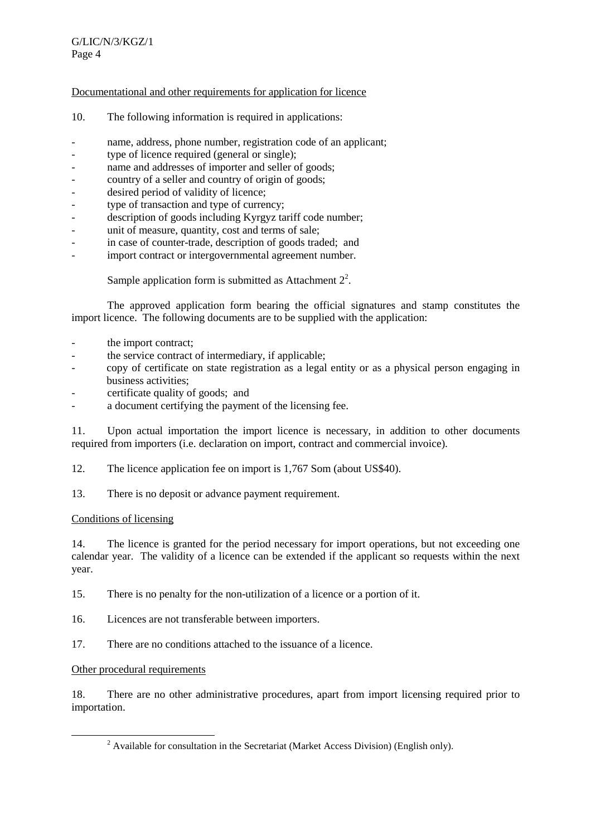## Documentational and other requirements for application for licence

- 10. The following information is required in applications:
- name, address, phone number, registration code of an applicant;
- type of licence required (general or single);
- name and addresses of importer and seller of goods;
- country of a seller and country of origin of goods;
- desired period of validity of licence;
- type of transaction and type of currency;
- description of goods including Kyrgyz tariff code number;
- unit of measure, quantity, cost and terms of sale;
- in case of counter-trade, description of goods traded; and
- import contract or intergovernmental agreement number.

Sample application form is submitted as Attachment  $2^2$ .

The approved application form bearing the official signatures and stamp constitutes the import licence. The following documents are to be supplied with the application:

- the import contract;
- the service contract of intermediary, if applicable:
- copy of certificate on state registration as a legal entity or as a physical person engaging in business activities;
- certificate quality of goods; and
- a document certifying the payment of the licensing fee.

11. Upon actual importation the import licence is necessary, in addition to other documents required from importers (i.e. declaration on import, contract and commercial invoice).

- 12. The licence application fee on import is 1,767 Som (about US\$40).
- 13. There is no deposit or advance payment requirement.

### Conditions of licensing

14. The licence is granted for the period necessary for import operations, but not exceeding one calendar year. The validity of a licence can be extended if the applicant so requests within the next year.

15. There is no penalty for the non-utilization of a licence or a portion of it.

- 16. Licences are not transferable between importers.
- 17. There are no conditions attached to the issuance of a licence.

### Other procedural requirements

18. There are no other administrative procedures, apart from import licensing required prior to importation.

 $\overline{\phantom{a}}$  $2$  Available for consultation in the Secretariat (Market Access Division) (English only).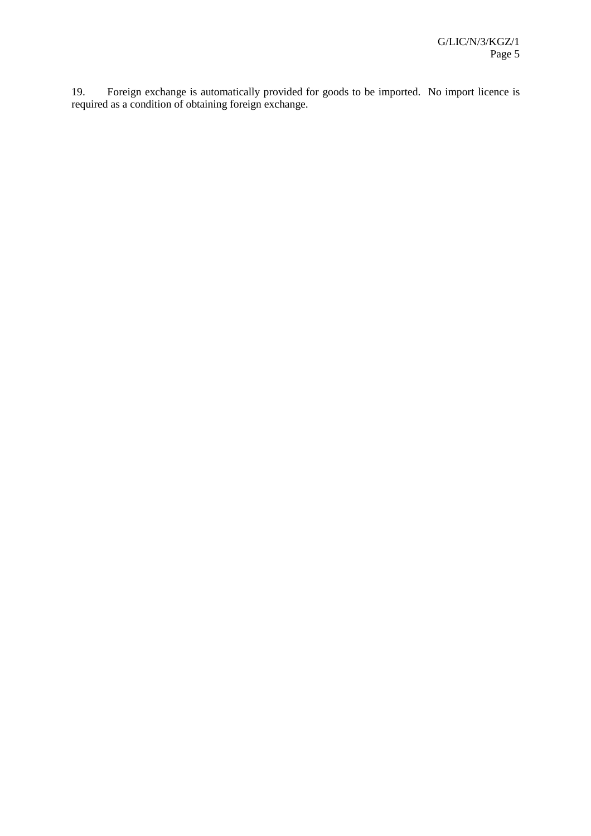19. Foreign exchange is automatically provided for goods to be imported. No import licence is required as a condition of obtaining foreign exchange.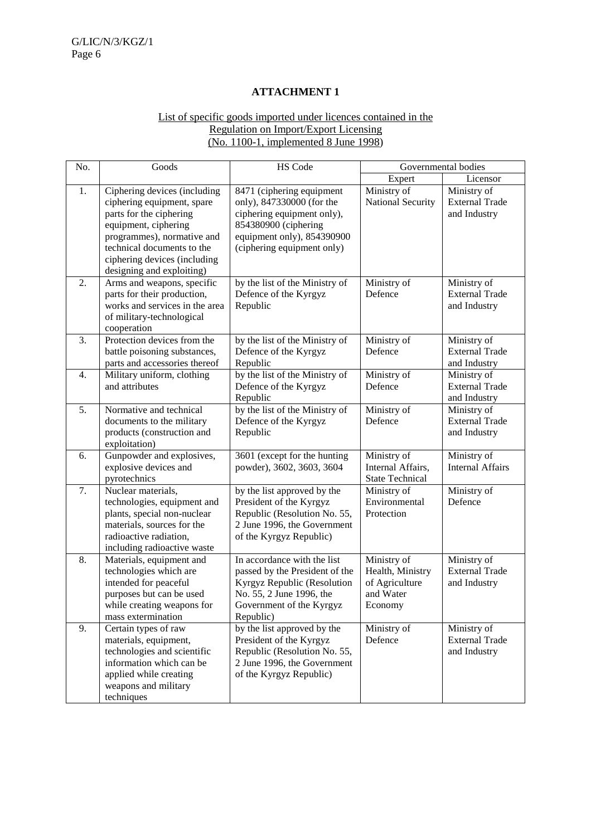## **ATTACHMENT 1**

## List of specific goods imported under licences contained in the Regulation on Import/Export Licensing (No. 1100-1, implemented 8 June 1998)

| No.              | Goods                                                                                                                                                                                                                                  | HS Code                                                                                                                                                                  | Governmental bodies                                                       |                                                      |
|------------------|----------------------------------------------------------------------------------------------------------------------------------------------------------------------------------------------------------------------------------------|--------------------------------------------------------------------------------------------------------------------------------------------------------------------------|---------------------------------------------------------------------------|------------------------------------------------------|
|                  |                                                                                                                                                                                                                                        |                                                                                                                                                                          | Expert                                                                    | Licensor                                             |
| 1.               | Ciphering devices (including<br>ciphering equipment, spare<br>parts for the ciphering<br>equipment, ciphering<br>programmes), normative and<br>technical documents to the<br>ciphering devices (including<br>designing and exploiting) | 8471 (ciphering equipment<br>only), 847330000 (for the<br>ciphering equipment only),<br>854380900 (ciphering<br>equipment only), 854390900<br>(ciphering equipment only) | Ministry of<br>National Security                                          | Ministry of<br><b>External Trade</b><br>and Industry |
| 2.               | Arms and weapons, specific<br>parts for their production,<br>works and services in the area<br>of military-technological<br>cooperation                                                                                                | by the list of the Ministry of<br>Defence of the Kyrgyz<br>Republic                                                                                                      | Ministry of<br>Defence                                                    | Ministry of<br><b>External Trade</b><br>and Industry |
| 3.               | Protection devices from the<br>battle poisoning substances,<br>parts and accessories thereof                                                                                                                                           | by the list of the Ministry of<br>Defence of the Kyrgyz<br>Republic                                                                                                      | Ministry of<br>Defence                                                    | Ministry of<br><b>External Trade</b><br>and Industry |
| $\overline{4}$ . | Military uniform, clothing<br>and attributes                                                                                                                                                                                           | by the list of the Ministry of<br>Defence of the Kyrgyz<br>Republic                                                                                                      | Ministry of<br>Defence                                                    | Ministry of<br><b>External Trade</b><br>and Industry |
| 5.               | Normative and technical<br>documents to the military<br>products (construction and<br>exploitation)                                                                                                                                    | by the list of the Ministry of<br>Defence of the Kyrgyz<br>Republic                                                                                                      | Ministry of<br>Defence                                                    | Ministry of<br><b>External Trade</b><br>and Industry |
| 6.               | Gunpowder and explosives,<br>explosive devices and<br>pyrotechnics                                                                                                                                                                     | 3601 (except for the hunting<br>powder), 3602, 3603, 3604                                                                                                                | Ministry of<br>Internal Affairs,<br><b>State Technical</b>                | Ministry of<br><b>Internal Affairs</b>               |
| 7.               | Nuclear materials,<br>technologies, equipment and<br>plants, special non-nuclear<br>materials, sources for the<br>radioactive radiation,<br>including radioactive waste                                                                | by the list approved by the<br>President of the Kyrgyz<br>Republic (Resolution No. 55,<br>2 June 1996, the Government<br>of the Kyrgyz Republic)                         | Ministry of<br>Environmental<br>Protection                                | Ministry of<br>Defence                               |
| 8.               | Materials, equipment and<br>technologies which are<br>intended for peaceful<br>purposes but can be used<br>while creating weapons for<br>mass extermination                                                                            | In accordance with the list<br>passed by the President of the<br>Kyrgyz Republic (Resolution<br>No. 55, 2 June 1996, the<br>Government of the Kyrgyz<br>Republic)        | Ministry of<br>Health, Ministry<br>of Agriculture<br>and Water<br>Economy | Ministry of<br><b>External Trade</b><br>and Industry |
| 9.               | Certain types of raw<br>materials, equipment,<br>technologies and scientific<br>information which can be<br>applied while creating<br>weapons and military<br>techniques                                                               | by the list approved by the<br>President of the Kyrgyz<br>Republic (Resolution No. 55,<br>2 June 1996, the Government<br>of the Kyrgyz Republic)                         | Ministry of<br>Defence                                                    | Ministry of<br><b>External Trade</b><br>and Industry |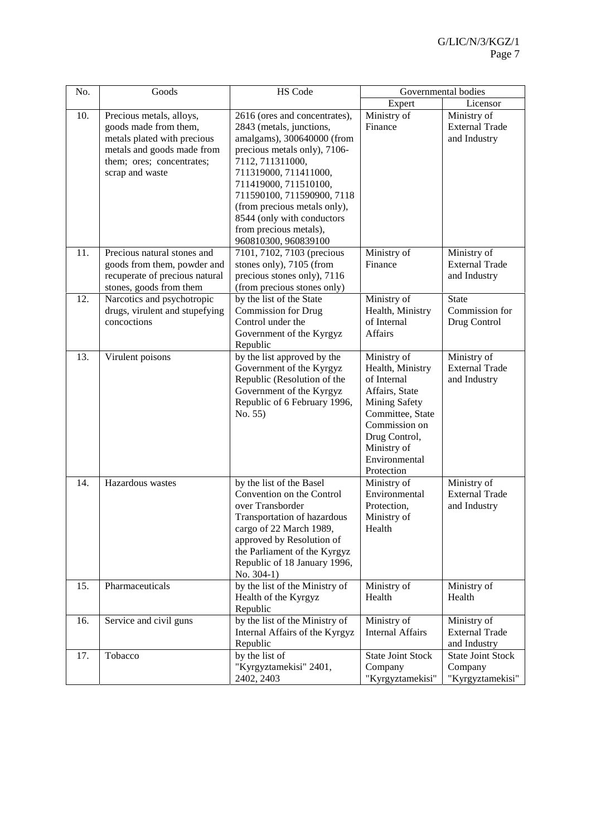| No. | Goods                                                                                                                                                          | HS Code                                                                                                                                                                                                                                                                                                                                     | Governmental bodies                                                                                                                                                                          |                                                         |
|-----|----------------------------------------------------------------------------------------------------------------------------------------------------------------|---------------------------------------------------------------------------------------------------------------------------------------------------------------------------------------------------------------------------------------------------------------------------------------------------------------------------------------------|----------------------------------------------------------------------------------------------------------------------------------------------------------------------------------------------|---------------------------------------------------------|
|     |                                                                                                                                                                |                                                                                                                                                                                                                                                                                                                                             | Expert                                                                                                                                                                                       | Licensor                                                |
| 10. | Precious metals, alloys,<br>goods made from them,<br>metals plated with precious<br>metals and goods made from<br>them; ores; concentrates;<br>scrap and waste | 2616 (ores and concentrates),<br>2843 (metals, junctions,<br>amalgams), 300640000 (from<br>precious metals only), 7106-<br>7112, 711311000,<br>711319000, 711411000,<br>711419000, 711510100,<br>711590100, 711590900, 7118<br>(from precious metals only),<br>8544 (only with conductors<br>from precious metals),<br>960810300, 960839100 | Ministry of<br>Finance                                                                                                                                                                       | Ministry of<br><b>External Trade</b><br>and Industry    |
| 11. | Precious natural stones and<br>goods from them, powder and<br>recuperate of precious natural<br>stones, goods from them                                        | 7101, 7102, 7103 (precious<br>stones only), 7105 (from<br>precious stones only), 7116<br>(from precious stones only)                                                                                                                                                                                                                        | Ministry of<br>Finance                                                                                                                                                                       | Ministry of<br><b>External Trade</b><br>and Industry    |
| 12. | Narcotics and psychotropic<br>drugs, virulent and stupefying<br>concoctions                                                                                    | by the list of the State<br><b>Commission for Drug</b><br>Control under the<br>Government of the Kyrgyz<br>Republic                                                                                                                                                                                                                         | Ministry of<br>Health, Ministry<br>of Internal<br><b>Affairs</b>                                                                                                                             | <b>State</b><br>Commission for<br>Drug Control          |
| 13. | Virulent poisons                                                                                                                                               | by the list approved by the<br>Government of the Kyrgyz<br>Republic (Resolution of the<br>Government of the Kyrgyz<br>Republic of 6 February 1996,<br>No. 55)                                                                                                                                                                               | Ministry of<br>Health, Ministry<br>of Internal<br>Affairs, State<br><b>Mining Safety</b><br>Committee, State<br>Commission on<br>Drug Control,<br>Ministry of<br>Environmental<br>Protection | Ministry of<br><b>External Trade</b><br>and Industry    |
| 14. | Hazardous wastes                                                                                                                                               | by the list of the Basel<br>Convention on the Control<br>over Transborder<br>Transportation of hazardous<br>cargo of 22 March 1989,<br>approved by Resolution of<br>the Parliament of the Kyrgyz<br>Republic of 18 January 1996,<br>No. 304-1)                                                                                              | Ministry of<br>Environmental<br>Protection,<br>Ministry of<br>Health                                                                                                                         | Ministry of<br><b>External Trade</b><br>and Industry    |
| 15. | Pharmaceuticals                                                                                                                                                | by the list of the Ministry of<br>Health of the Kyrgyz<br>Republic                                                                                                                                                                                                                                                                          | Ministry of<br>Health                                                                                                                                                                        | Ministry of<br>Health                                   |
| 16. | Service and civil guns                                                                                                                                         | by the list of the Ministry of<br>Internal Affairs of the Kyrgyz<br>Republic                                                                                                                                                                                                                                                                | Ministry of<br><b>Internal Affairs</b>                                                                                                                                                       | Ministry of<br><b>External Trade</b><br>and Industry    |
| 17. | Tobacco                                                                                                                                                        | by the list of<br>"Kyrgyztamekisi" 2401,<br>2402, 2403                                                                                                                                                                                                                                                                                      | <b>State Joint Stock</b><br>Company<br>"Kyrgyztamekisi"                                                                                                                                      | <b>State Joint Stock</b><br>Company<br>"Kyrgyztamekisi" |